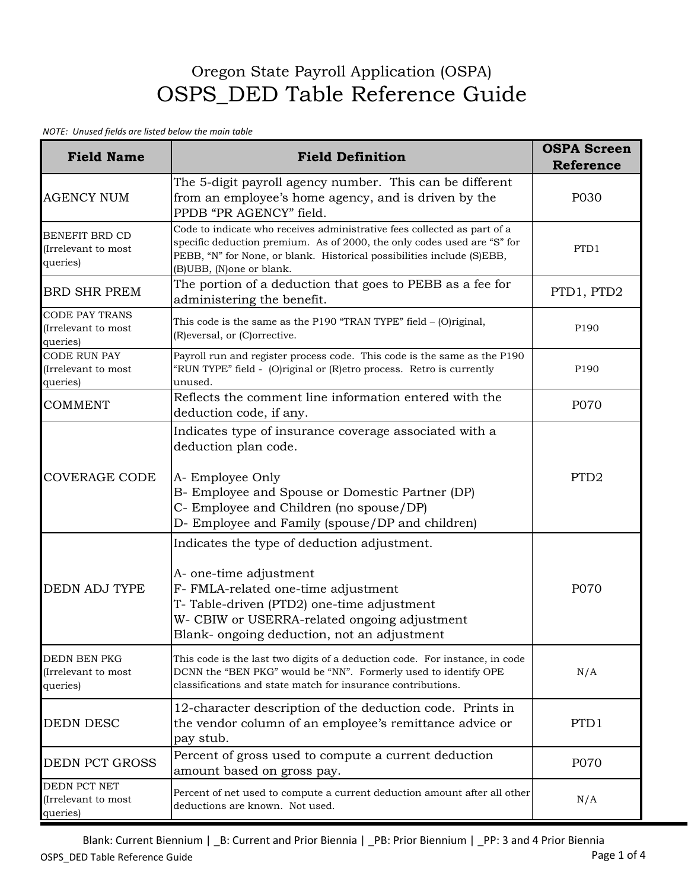## Oregon State Payroll Application (OSPA) OSPS\_DED Table Reference Guide

## *NOTE: Unused fields are listed below the main table*

| <b>Field Name</b>                                        | <b>Field Definition</b>                                                                                                                                                                                                                                   | <b>OSPA Screen</b><br><b>Reference</b> |
|----------------------------------------------------------|-----------------------------------------------------------------------------------------------------------------------------------------------------------------------------------------------------------------------------------------------------------|----------------------------------------|
| <b>AGENCY NUM</b>                                        | The 5-digit payroll agency number. This can be different<br>from an employee's home agency, and is driven by the<br>PPDB "PR AGENCY" field.                                                                                                               | P030                                   |
| <b>BENEFIT BRD CD</b><br>(Irrelevant to most<br>queries) | Code to indicate who receives administrative fees collected as part of a<br>specific deduction premium. As of 2000, the only codes used are "S" for<br>PEBB, "N" for None, or blank. Historical possibilities include (S)EBB,<br>(B)UBB, (N)one or blank. | PTD1                                   |
| <b>BRD SHR PREM</b>                                      | The portion of a deduction that goes to PEBB as a fee for<br>administering the benefit.                                                                                                                                                                   | PTD1, PTD2                             |
| <b>CODE PAY TRANS</b><br>(Irrelevant to most<br>queries) | This code is the same as the P190 "TRAN TYPE" field - (O)riginal,<br>(R) eversal, or (C) orrective.                                                                                                                                                       | P190                                   |
| <b>CODE RUN PAY</b><br>(Irrelevant to most<br>queries)   | Payroll run and register process code. This code is the same as the P190<br>"RUN TYPE" field - (O)riginal or (R)etro process. Retro is currently<br>unused.                                                                                               | P190                                   |
| <b>COMMENT</b>                                           | Reflects the comment line information entered with the<br>deduction code, if any.                                                                                                                                                                         | P070                                   |
| <b>COVERAGE CODE</b>                                     | Indicates type of insurance coverage associated with a<br>deduction plan code.<br>A- Employee Only<br>B- Employee and Spouse or Domestic Partner (DP)<br>C- Employee and Children (no spouse/DP)<br>D- Employee and Family (spouse/DP and children)       | PTD <sub>2</sub>                       |
| <b>DEDN ADJ TYPE</b>                                     | Indicates the type of deduction adjustment.<br>A- one-time adjustment<br>F- FMLA-related one-time adjustment<br>T- Table-driven (PTD2) one-time adjustment<br>W- CBIW or USERRA-related ongoing adjustment<br>Blank- ongoing deduction, not an adjustment | P070                                   |
| <b>DEDN BEN PKG</b><br>(Irrelevant to most<br>queries)   | This code is the last two digits of a deduction code. For instance, in code<br>DCNN the "BEN PKG" would be "NN". Formerly used to identify OPE<br>classifications and state match for insurance contributions.                                            | N/A                                    |
| <b>DEDN DESC</b>                                         | 12-character description of the deduction code. Prints in<br>the vendor column of an employee's remittance advice or<br>pay stub.                                                                                                                         | PTD1                                   |
| <b>DEDN PCT GROSS</b>                                    | Percent of gross used to compute a current deduction<br>amount based on gross pay.                                                                                                                                                                        | P070                                   |
| DEDN PCT NET<br>(Irrelevant to most<br>queries)          | Percent of net used to compute a current deduction amount after all other<br>deductions are known. Not used.                                                                                                                                              | N/A                                    |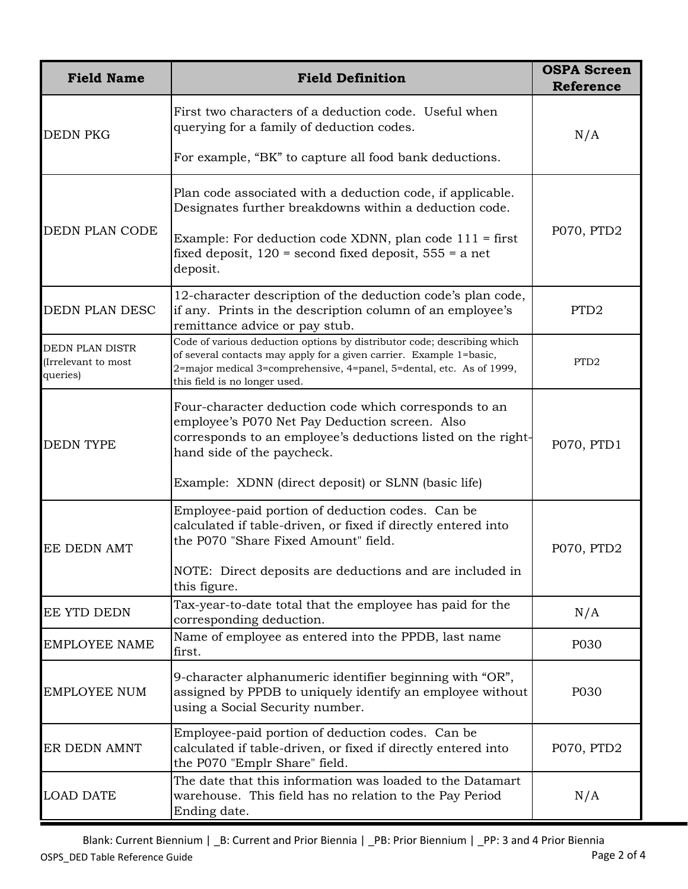| <b>Field Name</b>                                  | <b>Field Definition</b>                                                                                                                                                                                                                                      | <b>OSPA Screen</b><br><b>Reference</b> |
|----------------------------------------------------|--------------------------------------------------------------------------------------------------------------------------------------------------------------------------------------------------------------------------------------------------------------|----------------------------------------|
| <b>DEDN PKG</b>                                    | First two characters of a deduction code. Useful when<br>querying for a family of deduction codes.<br>For example, "BK" to capture all food bank deductions.                                                                                                 | N/A                                    |
| DEDN PLAN CODE                                     | Plan code associated with a deduction code, if applicable.<br>Designates further breakdowns within a deduction code.<br>Example: For deduction code XDNN, plan code $111 =$ first<br>fixed deposit, $120$ = second fixed deposit, $555$ = a net<br>deposit.  | P070, PTD2                             |
| DEDN PLAN DESC                                     | 12-character description of the deduction code's plan code,<br>if any. Prints in the description column of an employee's<br>remittance advice or pay stub.                                                                                                   | PTD <sub>2</sub>                       |
| DEDN PLAN DISTR<br>(Irrelevant to most<br>queries) | Code of various deduction options by distributor code; describing which<br>of several contacts may apply for a given carrier. Example 1=basic,<br>2=major medical 3=comprehensive, 4=panel, 5=dental, etc. As of 1999,<br>this field is no longer used.      | PTD <sub>2</sub>                       |
| <b>DEDN TYPE</b>                                   | Four-character deduction code which corresponds to an<br>employee's P070 Net Pay Deduction screen. Also<br>corresponds to an employee's deductions listed on the right-<br>hand side of the paycheck.<br>Example: XDNN (direct deposit) or SLNN (basic life) | P070, PTD1                             |
| <b>EE DEDN AMT</b>                                 | Employee-paid portion of deduction codes. Can be<br>calculated if table-driven, or fixed if directly entered into<br>the P070 "Share Fixed Amount" field.<br>NOTE: Direct deposits are deductions and are included in<br>this figure.                        | P070, PTD2                             |
| EE YTD DEDN                                        | Tax-year-to-date total that the employee has paid for the<br>corresponding deduction.                                                                                                                                                                        | N/A                                    |
| <b>EMPLOYEE NAME</b>                               | Name of employee as entered into the PPDB, last name<br>first.                                                                                                                                                                                               | P030                                   |
| <b>EMPLOYEE NUM</b>                                | 9-character alphanumeric identifier beginning with "OR",<br>assigned by PPDB to uniquely identify an employee without<br>using a Social Security number.                                                                                                     | P030                                   |
| ER DEDN AMNT                                       | Employee-paid portion of deduction codes. Can be<br>calculated if table-driven, or fixed if directly entered into<br>the P070 "Emplr Share" field.                                                                                                           | P070, PTD2                             |
| <b>LOAD DATE</b>                                   | The date that this information was loaded to the Datamart<br>warehouse. This field has no relation to the Pay Period<br>Ending date.                                                                                                                         | N/A                                    |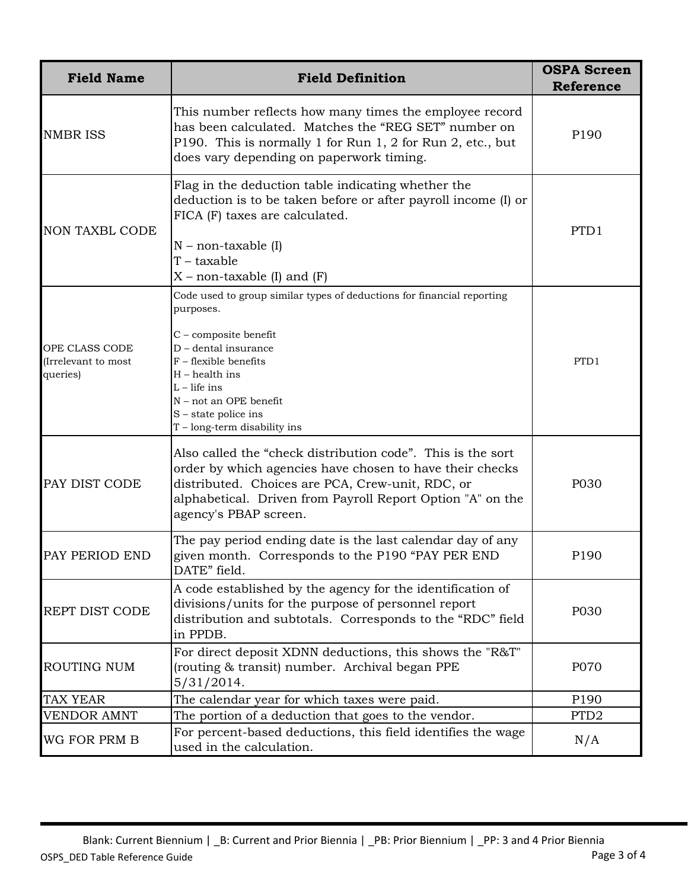| <b>Field Name</b>                                 | <b>Field Definition</b>                                                                                                                                                                                                                                                                 | <b>OSPA Screen</b><br>Reference |
|---------------------------------------------------|-----------------------------------------------------------------------------------------------------------------------------------------------------------------------------------------------------------------------------------------------------------------------------------------|---------------------------------|
| <b>NMBR ISS</b>                                   | This number reflects how many times the employee record<br>has been calculated. Matches the "REG SET" number on<br>P190. This is normally 1 for Run 1, 2 for Run 2, etc., but<br>does vary depending on paperwork timing.                                                               | P190                            |
| <b>NON TAXBL CODE</b>                             | Flag in the deduction table indicating whether the<br>deduction is to be taken before or after payroll income (I) or<br>FICA (F) taxes are calculated.<br>$N$ – non-taxable $(I)$<br>T – taxable<br>$X$ – non-taxable (I) and (F)                                                       | PTD1                            |
| OPE CLASS CODE<br>(Irrelevant to most<br>queries) | Code used to group similar types of deductions for financial reporting<br>purposes.<br>C - composite benefit<br>D - dental insurance<br>$F$ – flexible benefits<br>$H$ – health ins<br>$L$ – life ins<br>N - not an OPE benefit<br>S - state police ins<br>T - long-term disability ins | PTD1                            |
| PAY DIST CODE                                     | Also called the "check distribution code". This is the sort<br>order by which agencies have chosen to have their checks<br>distributed. Choices are PCA, Crew-unit, RDC, or<br>alphabetical. Driven from Payroll Report Option "A" on the<br>agency's PBAP screen.                      | P030                            |
| PAY PERIOD END                                    | The pay period ending date is the last calendar day of any<br>given month. Corresponds to the P190 "PAY PER END<br>DATE" field.                                                                                                                                                         | P190                            |
| REPT DIST CODE                                    | A code established by the agency for the identification of<br>divisions/units for the purpose of personnel report<br>distribution and subtotals. Corresponds to the "RDC" field<br>in PPDB.                                                                                             | P030                            |
| <b>ROUTING NUM</b>                                | For direct deposit XDNN deductions, this shows the "R&T"<br>(routing & transit) number. Archival began PPE<br>5/31/2014.                                                                                                                                                                | P070                            |
| TAX YEAR                                          | The calendar year for which taxes were paid.                                                                                                                                                                                                                                            | P190                            |
| <b>VENDOR AMNT</b>                                | The portion of a deduction that goes to the vendor.                                                                                                                                                                                                                                     | PTD <sub>2</sub>                |
| WG FOR PRM B                                      | For percent-based deductions, this field identifies the wage<br>used in the calculation.                                                                                                                                                                                                | N/A                             |